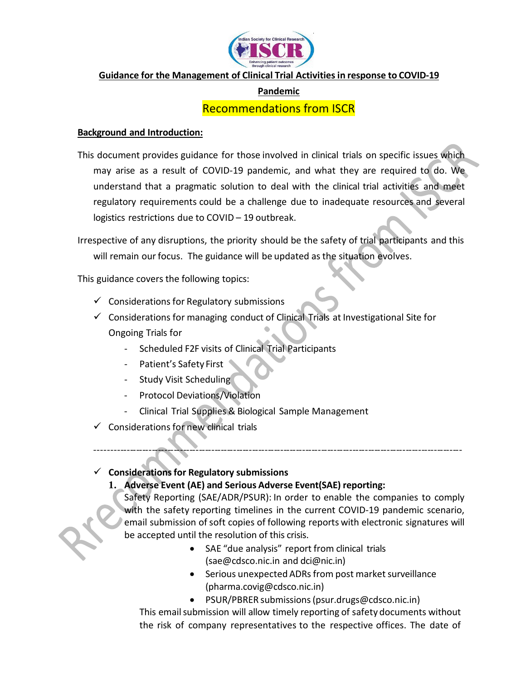

## **Guidance for the Management of Clinical Trial Activitiesin response to COVID-19**

## **Pandemic**

# Recommendations from ISCR

#### **Background and Introduction:**

This document provides guidance for those involved in clinical trials on specific issues which may arise as a result of COVID-19 pandemic, and what they are required to do. We understand that a pragmatic solution to deal with the clinical trial activities and meet regulatory requirements could be a challenge due to inadequate resources and several logistics restrictions due to COVID – 19 outbreak.

Irrespective of any disruptions, the priority should be the safety of trial participants and this will remain our focus. The guidance will be updated as the situation evolves.

This guidance covers the following topics:

- $\checkmark$  Considerations for Regulatory submissions
- $\checkmark$  Considerations for managing conduct of Clinical Trials at Investigational Site for Ongoing Trials for
	- Scheduled F2F visits of Clinical Trial Participants
	- Patient's Safety First
	- Study Visit Scheduling
	- Protocol Deviations/Violation
	- Clinical Trial Supplies & Biological Sample Management
- $\checkmark$  Considerations for new clinical trials

#### **Considerationsfor Regulatory submissions**

## **1. Adverse Event (AE) and Serious Adverse Event(SAE) reporting:**

Safety Reporting (SAE/ADR/PSUR): In order to enable the companies to comply with the safety reporting timelines in the current COVID-19 pandemic scenario, email submission of soft copies of following reports with electronic signatures will be accepted until the resolution of this crisis.

---------------------------------------------------------------------------------------------------------------------

- SAE "due analysis" report from clinical trials [\(sae@cdsco.nic.in](mailto:sae@cdsco.nic.in) and [dci@nic.in\)](mailto:dci@nic.in)
- Serious unexpected ADRs from post market surveillance [\(pharma.covig@cdsco.nic.in\)](mailto:pharma.covig@cdsco.nic.in)
- PSUR/PBRER submissions[\(psur.drugs@cdsco.nic.in\)](mailto:psur.drugs@cdsco.nic.in)

This email submission will allow timely reporting of safety documents without the risk of company representatives to the respective offices. The date of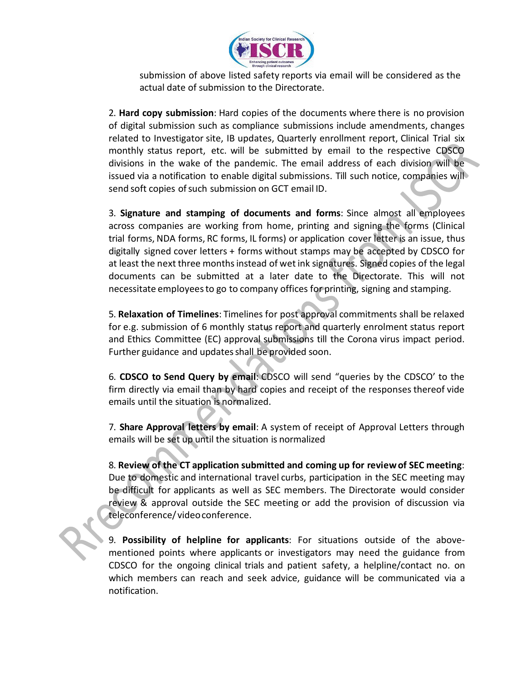

submission of above listed safety reports via email will be considered as the actual date of submission to the Directorate.

2. **Hard copy submission**: Hard copies of the documents where there is no provision of digital submission such as compliance submissions include amendments, changes related to Investigator site, IB updates, Quarterly enrollment report, Clinical Trial six monthly status report, etc. will be submitted by email to the respective CDSCO divisions in the wake of the pandemic. The email address of each division will be issued via a notification to enable digital submissions. Till such notice, companies will send soft copies of such submission on GCT email ID.

3. **Signature and stamping of documents and forms**: Since almost all employees across companies are working from home, printing and signing the forms (Clinical trial forms, NDA forms, RC forms, IL forms) or application cover letter is an issue, thus digitally signed cover letters + forms without stamps may be accepted by CDSCO for at least the next three months instead of wet ink signatures. Signed copies of the legal documents can be submitted at a later date to the Directorate. This will not necessitate employeesto go to company offices for printing, signing and stamping.

5. **Relaxation of Timelines**: Timelines for post approval commitments shall be relaxed for e.g. submission of 6 monthly status report and quarterly enrolment status report and Ethics Committee (EC) approval submissions till the Corona virus impact period. Further guidance and updates shall be provided soon.

6. **CDSCO to Send Query by email**: CDSCO will send "queries by the CDSCO' to the firm directly via email than by hard copies and receipt of the responses thereof vide emails until the situation is normalized.

7. **Share Approval letters by email**: A system of receipt of Approval Letters through emails will be set up until the situation is normalized

8. **Review of the CT application submitted and coming up for reviewof SEC meeting**: Due to domestic and international travel curbs, participation in the SEC meeting may be difficult for applicants as well as SEC members. The Directorate would consider review  $\overline{R}$  approval outside the SEC meeting or add the provision of discussion via teleconference/ videoconference.

9. **Possibility of helpline for applicants**: For situations outside of the abovementioned points where applicants or investigators may need the guidance from CDSCO for the ongoing clinical trials and patient safety, a helpline/contact no. on which members can reach and seek advice, guidance will be communicated via a notification.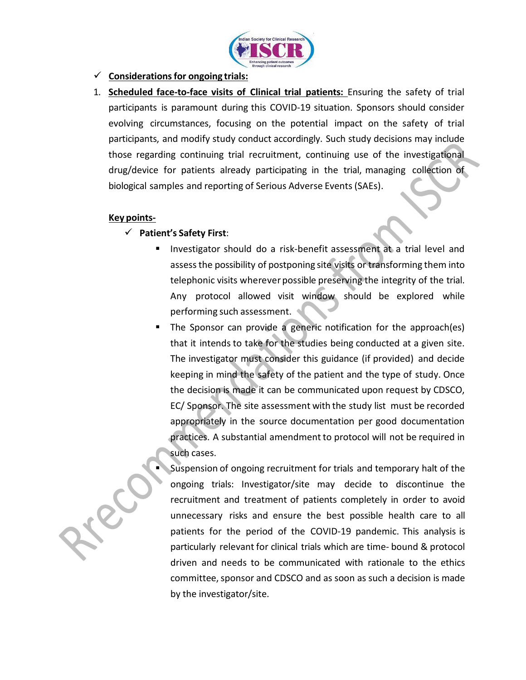

## **Considerationsfor ongoing trials:**

1. **Scheduled face-to-face visits of Clinical trial patients:** Ensuring the safety of trial participants is paramount during this COVID-19 situation. Sponsors should consider evolving circumstances, focusing on the potential impact on the safety of trial participants, and modify study conduct accordingly. Such study decisions may include those regarding continuing trial recruitment, continuing use of the investigational drug/device for patients already participating in the trial, managing collection of biological samples and reporting of Serious Adverse Events (SAEs).

#### **Key points-**

## **Patient's Safety First**:

- **Investigator should do a risk-benefit assessment at a trial level and** assessthe possibility of postponing site visits or transforming them into telephonic visits wherever possible preserving the integrity of the trial. Any protocol allowed visit window should be explored while performing such assessment.
- **The Sponsor can provide a generic notification for the approach(es)** that it intends to take for the studies being conducted at a given site. The investigator must consider this guidance (if provided) and decide keeping in mind the safety of the patient and the type of study. Once the decision is made it can be communicated upon request by CDSCO, EC/ Sponsor. The site assessment with the study list must be recorded appropriately in the source documentation per good documentation practices. A substantial amendment to protocol will not be required in such cases.
	- Suspension of ongoing recruitment for trials and temporary halt of the ongoing trials: Investigator/site may decide to discontinue the recruitment and treatment of patients completely in order to avoid unnecessary risks and ensure the best possible health care to all patients for the period of the COVID-19 pandemic. This analysis is particularly relevant for clinical trials which are time- bound & protocol driven and needs to be communicated with rationale to the ethics committee, sponsor and CDSCO and as soon as such a decision is made by the investigator/site.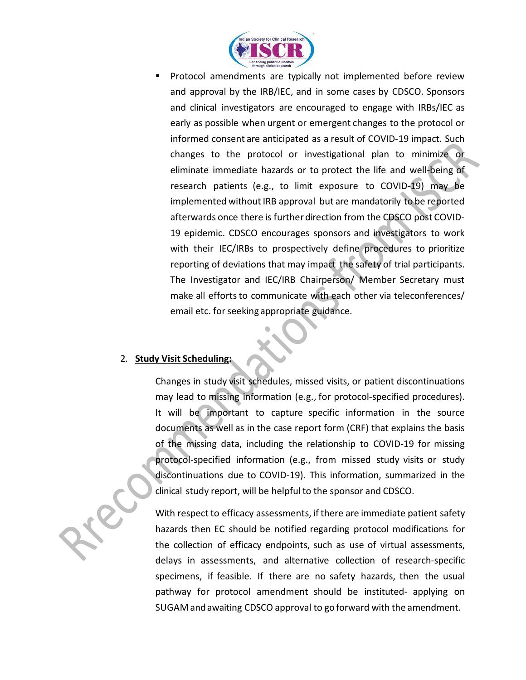

 Protocol amendments are typically not implemented before review and approval by the IRB/IEC, and in some cases by CDSCO. Sponsors and clinical investigators are encouraged to engage with IRBs/IEC as early as possible when urgent or emergent changes to the protocol or informed consent are anticipated as a result of COVID-19 impact. Such changes to the protocol or investigational plan to minimize or eliminate immediate hazards or to protect the life and well-being of research patients (e.g., to limit exposure to COVID-19) may be implemented without IRB approval but are mandatorily to be reported afterwards once there is further direction from the CDSCO post COVID-19 epidemic. CDSCO encourages sponsors and investigators to work with their IEC/IRBs to prospectively define procedures to prioritize reporting of deviations that may impact the safety of trial participants. The Investigator and IEC/IRB Chairperson/ Member Secretary must make all efforts to communicate with each other via teleconferences/ email etc. for seeking appropriate guidance.

## 2. **Study Visit Scheduling:**

Changes in study visit schedules, missed visits, or patient discontinuations may lead to missing information (e.g., for protocol-specified procedures). It will be important to capture specific information in the source documents as well as in the case report form (CRF) that explains the basis of the missing data, including the relationship to COVID-19 for missing protocol-specified information (e.g., from missed study visits or study discontinuations due to COVID-19). This information, summarized in the clinical study report, will be helpful to the sponsor and CDSCO.



With respect to efficacy assessments, if there are immediate patient safety hazards then EC should be notified regarding protocol modifications for the collection of efficacy endpoints, such as use of virtual assessments, delays in assessments, and alternative collection of research-specific specimens, if feasible. If there are no safety hazards, then the usual pathway for protocol amendment should be instituted- applying on SUGAM and awaiting CDSCO approval to go forward with the amendment.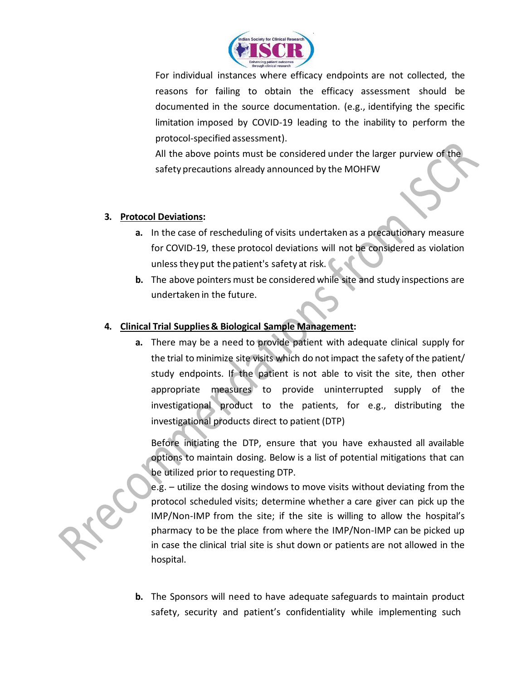

For individual instances where efficacy endpoints are not collected, the reasons for failing to obtain the efficacy assessment should be documented in the source documentation. (e.g., identifying the specific limitation imposed by COVID-19 leading to the inability to perform the protocol-specified assessment).

All the above points must be considered under the larger purview of the safety precautions already announced by the MOHFW

## **3. Protocol Deviations:**

- **a.** In the case of rescheduling of visits undertaken as a precautionary measure for COVID-19, these protocol deviations will not be considered as violation unless they put the patient's safety at risk.
- **b.** The above pointers must be considered while site and study inspections are undertaken in the future.

## **4. Clinical Trial Supplies& Biological Sample Management:**

**a.** There may be a need to provide patient with adequate clinical supply for the trial to minimize site visits which do notimpact the safety of the patient/ study endpoints. If the patient is not able to visit the site, then other appropriate measures to provide uninterrupted supply of the investigational product to the patients, for e.g., distributing the investigational products direct to patient (DTP)

Before initiating the DTP, ensure that you have exhausted all available options to maintain dosing. Below is a list of potential mitigations that can be utilized prior to requesting DTP.

e.g. – utilize the dosing windows to move visits without deviating from the protocol scheduled visits; determine whether a care giver can pick up the IMP/Non-IMP from the site; if the site is willing to allow the hospital's pharmacy to be the place from where the IMP/Non-IMP can be picked up in case the clinical trial site is shut down or patients are not allowed in the hospital.

**b.** The Sponsors will need to have adequate safeguards to maintain product safety, security and patient's confidentiality while implementing such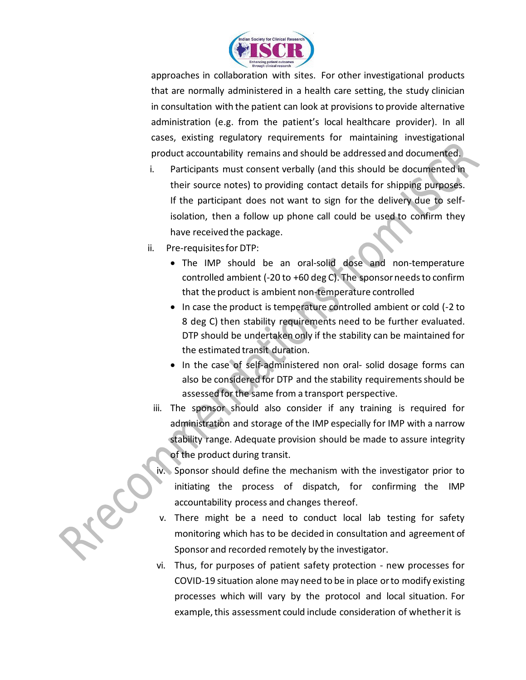

approaches in collaboration with sites. For other investigational products that are normally administered in a health care setting, the study clinician in consultation with the patient can look at provisions to provide alternative administration (e.g. from the patient's local healthcare provider). In all cases, existing regulatory requirements for maintaining investigational product accountability remains and should be addressed and documented.

- i. Participants must consent verbally (and this should be documented in their source notes) to providing contact details for shipping purposes. If the participant does not want to sign for the delivery due to selfisolation, then a follow up phone call could be used to confirm they have received the package.
- ii. Pre-requisitesfor DTP:
	- The IMP should be an oral-solid dose and non-temperature controlled ambient (-20 to +60 deg C). The sponsor needs to confirm that the product is ambient non-temperature controlled
	- In case the product is temperature controlled ambient or cold (-2 to 8 deg C) then stability requirements need to be further evaluated. DTP should be undertaken only if the stability can be maintained for the estimated transit duration.
	- In the case of self-administered non oral- solid dosage forms can also be considered for DTP and the stability requirements should be assessed for the same from a transport perspective.
	- iii. The sponsor should also consider if any training is required for administration and storage of the IMP especially for IMP with a narrow stability range. Adequate provision should be made to assure integrity of the product during transit.
	- iv. Sponsor should define the mechanism with the investigator prior to initiating the process of dispatch, for confirming the IMP accountability process and changes thereof.
	- v. There might be a need to conduct local lab testing for safety monitoring which has to be decided in consultation and agreement of Sponsor and recorded remotely by the investigator.
	- vi. Thus, for purposes of patient safety protection new processes for COVID-19 situation alone may need to be in place orto modify existing processes which will vary by the protocol and local situation. For example, this assessment could include consideration of whether it is

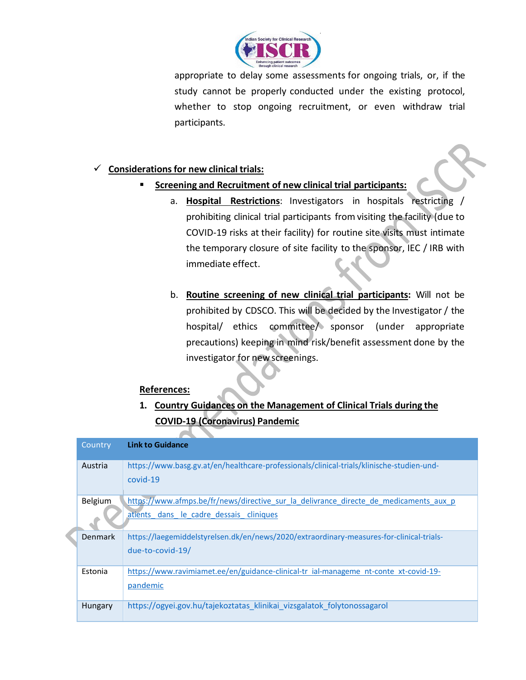

appropriate to delay some assessments for ongoing trials, or, if the study cannot be properly conducted under the existing protocol, whether to stop ongoing recruitment, or even withdraw trial participants.

# **Considerationsfor new clinical trials:**

- **Screening and Recruitment of new clinical trial participants:**
	- a. **Hospital Restrictions**: Investigators in hospitals restricting / prohibiting clinical trial participants from visiting the facility (due to COVID-19 risks at their facility) for routine site visits must intimate the temporary closure of site facility to the sponsor, IEC / IRB with immediate effect.
	- b. **Routine screening of new clinical trial participants:** Will not be prohibited by CDSCO. This will be decided by the Investigator / the hospital/ ethics committee/ sponsor (under appropriate precautions) keeping in mind risk/benefit assessment done by the investigator for new screenings.

## **References:**

**1. Country Guidances on the Management of Clinical Trials during the COVID-19 (Coronavirus) Pandemic**

|  | Country        | <b>Link to Guidance</b>                                                                   |
|--|----------------|-------------------------------------------------------------------------------------------|
|  |                |                                                                                           |
|  | Austria        | https://www.basg.gv.at/en/healthcare-professionals/clinical-trials/klinische-studien-und- |
|  |                |                                                                                           |
|  |                | covid-19                                                                                  |
|  |                |                                                                                           |
|  | Belgium        | https://www.afmps.be/fr/news/directive sur la delivrance directe de medicaments aux p     |
|  |                | atients dans le cadre dessais cliniques                                                   |
|  |                |                                                                                           |
|  |                |                                                                                           |
|  | <b>Denmark</b> | https://laegemiddelstyrelsen.dk/en/news/2020/extraordinary-measures-for-clinical-trials-  |
|  |                | due-to-covid-19/                                                                          |
|  |                |                                                                                           |
|  |                |                                                                                           |
|  | Estonia        | https://www.ravimiamet.ee/en/guidance-clinical-tr ial-manageme nt-conte xt-covid-19-      |
|  |                | pandemic                                                                                  |
|  |                |                                                                                           |
|  | Hungary        | https://ogyei.gov.hu/tajekoztatas klinikai vizsgalatok folytonossagarol                   |
|  |                |                                                                                           |
|  |                |                                                                                           |